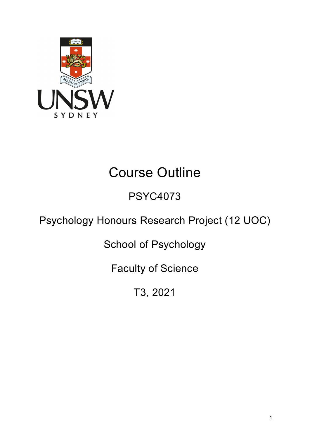

# Course Outline

## PSYC4073

## Psychology Honours Research Project (12 UOC)

School of Psychology

Faculty of Science

T3, 2021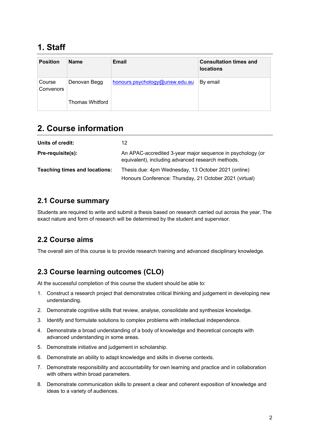## **1. Staff**

| <b>Position</b>     | <b>Name</b>            | Email                          | <b>Consultation times and</b><br><b>locations</b> |
|---------------------|------------------------|--------------------------------|---------------------------------------------------|
| Course<br>Convenors | Denovan Begg           | honours.psychology@unsw.edu.au | By email                                          |
|                     | <b>Thomas Whitford</b> |                                |                                                   |

## **2. Course information**

| Units of credit:              | 12                                                                                                              |  |
|-------------------------------|-----------------------------------------------------------------------------------------------------------------|--|
| Pre-requisite(s):             | An APAC-accredited 3-year major sequence in psychology (or<br>equivalent), including advanced research methods. |  |
| Teaching times and locations: | Thesis due: 4pm Wednesday, 13 October 2021 (online)                                                             |  |
|                               | Honours Conference: Thursday, 21 October 2021 (virtual)                                                         |  |

#### **2.1 Course summary**

Students are required to write and submit a thesis based on research carried out across the year. The exact nature and form of research will be determined by the student and supervisor.

#### **2.2 Course aims**

The overall aim of this course is to provide research training and advanced disciplinary knowledge.

#### **2.3 Course learning outcomes (CLO)**

At the successful completion of this course the student should be able to:

- 1. Construct a research project that demonstrates critical thinking and judgement in developing new understanding.
- 2. Demonstrate cognitive skills that review, analyse, consolidate and synthesize knowledge.
- 3. Identify and formulate solutions to complex problems with intellectual independence.
- 4. Demonstrate a broad understanding of a body of knowledge and theoretical concepts with advanced understanding in some areas.
- 5. Demonstrate initiative and judgement in scholarship.
- 6. Demonstrate an ability to adapt knowledge and skills in diverse contexts.
- 7. Demonstrate responsibility and accountability for own learning and practice and in collaboration with others within broad parameters.
- 8. Demonstrate communication skills to present a clear and coherent exposition of knowledge and ideas to a variety of audiences.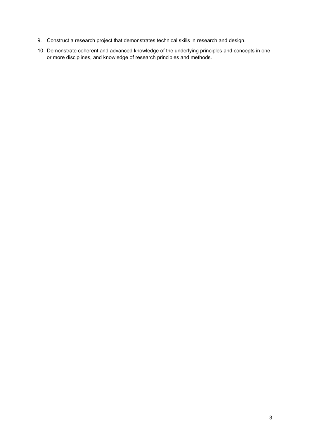- 9. Construct a research project that demonstrates technical skills in research and design.
- 10. Demonstrate coherent and advanced knowledge of the underlying principles and concepts in one or more disciplines, and knowledge of research principles and methods.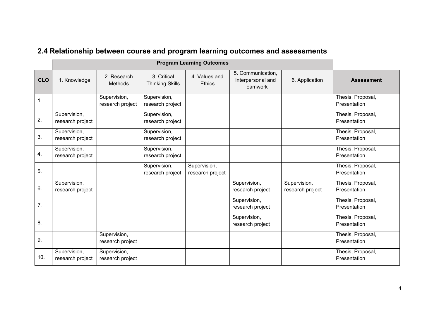|            | <b>Program Learning Outcomes</b> |                                  |                                       |                                  |                                                           |                                  |                                   |
|------------|----------------------------------|----------------------------------|---------------------------------------|----------------------------------|-----------------------------------------------------------|----------------------------------|-----------------------------------|
| <b>CLO</b> | 1. Knowledge                     | 2. Research<br>Methods           | 3. Critical<br><b>Thinking Skills</b> | 4. Values and<br><b>Ethics</b>   | 5. Communication,<br>Interpersonal and<br><b>Teamwork</b> | 6. Application                   | <b>Assessment</b>                 |
| 1.         |                                  | Supervision,<br>research project | Supervision,<br>research project      |                                  |                                                           |                                  | Thesis, Proposal,<br>Presentation |
| 2.         | Supervision,<br>research project |                                  | Supervision,<br>research project      |                                  |                                                           |                                  | Thesis, Proposal,<br>Presentation |
| 3.         | Supervision,<br>research project |                                  | Supervision,<br>research project      |                                  |                                                           |                                  | Thesis, Proposal,<br>Presentation |
| 4.         | Supervision,<br>research project |                                  | Supervision,<br>research project      |                                  |                                                           |                                  | Thesis, Proposal,<br>Presentation |
| 5.         |                                  |                                  | Supervision,<br>research project      | Supervision,<br>research project |                                                           |                                  | Thesis, Proposal,<br>Presentation |
| 6.         | Supervision,<br>research project |                                  |                                       |                                  | Supervision,<br>research project                          | Supervision,<br>research project | Thesis, Proposal,<br>Presentation |
| 7.         |                                  |                                  |                                       |                                  | Supervision,<br>research project                          |                                  | Thesis, Proposal,<br>Presentation |
| 8.         |                                  |                                  |                                       |                                  | Supervision,<br>research project                          |                                  | Thesis, Proposal,<br>Presentation |
| 9.         |                                  | Supervision,<br>research project |                                       |                                  |                                                           |                                  | Thesis, Proposal,<br>Presentation |
| 10.        | Supervision,<br>research project | Supervision,<br>research project |                                       |                                  |                                                           |                                  | Thesis, Proposal,<br>Presentation |

## **2.4 Relationship between course and program learning outcomes and assessments**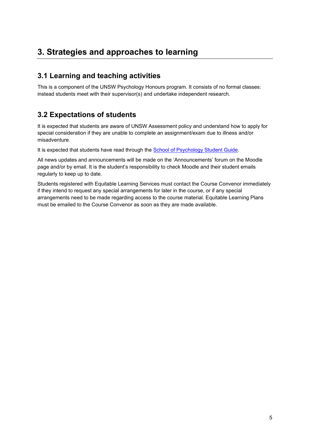## **3. Strategies and approaches to learning**

#### **3.1 Learning and teaching activities**

This is a component of the UNSW Psychology Honours program. It consists of no formal classes: instead students meet with their supervisor(s) and undertake independent research.

#### **3.2 Expectations of students**

It is expected that students are aware of UNSW Assessment policy and understand how to apply for special consideration if they are unable to complete an assignment/exam due to illness and/or misadventure.

It is expected that students have read through the [School of Psychology Student Guide.](https://www.psy.unsw.edu.au/current-students/student-guide)

All news updates and announcements will be made on the 'Announcements' forum on the Moodle page and/or by email. It is the student's responsibility to check Moodle and their student emails regularly to keep up to date.

Students registered with Equitable Learning Services must contact the Course Convenor immediately if they intend to request any special arrangements for later in the course, or if any special arrangements need to be made regarding access to the course material. Equitable Learning Plans must be emailed to the Course Convenor as soon as they are made available.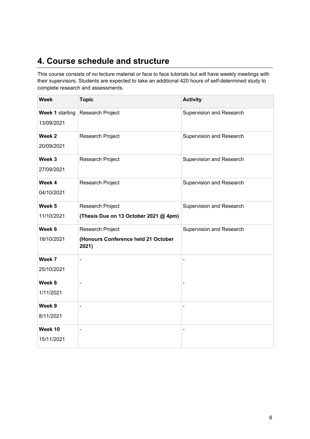## **4. Course schedule and structure**

This course consists of no lecture material or face to face tutorials but will have weekly meetings with their supervisors. Students are expected to take an additional 420 hours of self-determined study to complete research and assessments.

| <b>Week</b>                   | <b>Topic</b>                                                     | <b>Activity</b>          |
|-------------------------------|------------------------------------------------------------------|--------------------------|
| Week 1 starting<br>13/09/2021 | Research Project                                                 | Supervision and Research |
| Week 2<br>20/09/2021          | Research Project                                                 | Supervision and Research |
| Week 3<br>27/09/2021          | Research Project                                                 | Supervision and Research |
| Week 4<br>04/10/2021          | Research Project                                                 | Supervision and Research |
| Week 5<br>11/10/2021          | Research Project<br>(Thesis Due on 13 October 2021 @ 4pm)        | Supervision and Research |
| Week 6<br>18/10/2021          | Research Project<br>(Honours Conference held 21 October<br>2021) | Supervision and Research |
| Week 7<br>25/10/2021          |                                                                  |                          |
| Week 8<br>1/11/2021           |                                                                  |                          |
| Week 9<br>8/11/2021           | ÷,                                                               | ÷                        |
| Week 10<br>15/11/2021         | $\blacksquare$                                                   | ÷,                       |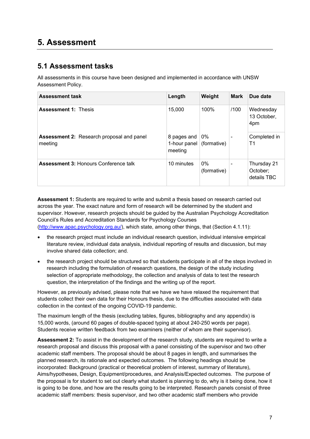### **5. Assessment**

#### **5.1 Assessment tasks**

All assessments in this course have been designed and implemented in accordance with UNSW Assessment Policy.

| <b>Assessment task</b>                                      | Length                                 | Weight               | <b>Mark</b>              | Due date                               |
|-------------------------------------------------------------|----------------------------------------|----------------------|--------------------------|----------------------------------------|
| <b>Assessment 1: Thesis</b>                                 | 15,000                                 | 100%                 | /100                     | Wednesday<br>13 October,<br>4pm        |
| <b>Assessment 2: Research proposal and panel</b><br>meeting | 8 pages and<br>1-hour panel<br>meeting | $0\%$<br>(formative) | $\overline{\phantom{a}}$ | Completed in<br>Τ1                     |
| <b>Assessment 3: Honours Conference talk</b>                | 10 minutes                             | $0\%$<br>(formative) |                          | Thursday 21<br>October:<br>details TBC |

**Assessment 1:** Students are required to write and submit a thesis based on research carried out across the year. The exact nature and form of research will be determined by the student and supervisor. However, research projects should be guided by the Australian Psychology Accreditation Council's Rules and Accreditation Standards for Psychology Courses [\(http://www.apac.psychology.org.au/\)](http://www.apac.psychology.org.au/), which state, among other things, that (Section 4.1.11):

- the research project must include an individual research question, individual intensive empirical literature review, individual data analysis, individual reporting of results and discussion, but may involve shared data collection; and.
- the research project should be structured so that students participate in all of the steps involved in research including the formulation of research questions, the design of the study including selection of appropriate methodology, the collection and analysis of data to test the research question, the interpretation of the findings and the writing up of the report.

However, as previously advised, please note that we have we have relaxed the requirement that students collect their own data for their Honours thesis, due to the difficulties associated with data collection in the context of the ongoing COVID-19 pandemic.

The maximum length of the thesis (excluding tables, figures, bibliography and any appendix) is 15,000 words, (around 60 pages of double-spaced typing at about 240-250 words per page). Students receive written feedback from two examiners (neither of whom are their supervisor).

**Assessment 2:** To assist in the development of the research study, students are required to write a research proposal and discuss this proposal with a panel consisting of the supervisor and two other academic staff members. The proposal should be about 8 pages in length, and summarises the planned research, its rationale and expected outcomes. The following headings should be incorporated: Background (practical or theoretical problem of interest, summary of literature), Aims/hypotheses, Design, Equipment/procedures, and Analysis/Expected outcomes. The purpose of the proposal is for student to set out clearly what student is planning to do, why is it being done, how it is going to be done, and how are the results going to be interpreted. Research panels consist of three academic staff members: thesis supervisor, and two other academic staff members who provide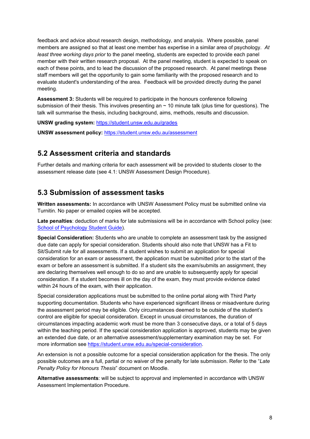feedback and advice about research design, methodology, and analysis. Where possible, panel members are assigned so that at least one member has expertise in a similar area of psychology. *At least three working days prior* to the panel meeting, students are expected to provide each panel member with their written research proposal. At the panel meeting, student is expected to speak on each of these points, and to lead the discussion of the proposed research. At panel meetings these staff members will get the opportunity to gain some familiarity with the proposed research and to evaluate student's understanding of the area. Feedback will be provided directly during the panel meeting.

**Assessment 3:** Students will be required to participate in the honours conference following submission of their thesis. This involves presenting an  $\sim$  10 minute talk (plus time for questions). The talk will summarise the thesis, including background, aims, methods, results and discussion.

**UNSW grading system:** <https://student.unsw.edu.au/grades>

**UNSW assessment policy:** <https://student.unsw.edu.au/assessment>

#### **5.2 Assessment criteria and standards**

Further details and marking criteria for each assessment will be provided to students closer to the assessment release date (see 4.1: UNSW Assessment Design Procedure).

#### **5.3 Submission of assessment tasks**

**Written assessments:** In accordance with UNSW Assessment Policy must be submitted online via Turnitin. No paper or emailed copies will be accepted.

**Late penalties**: deduction of marks for late submissions will be in accordance with School policy (see: [School of Psychology Student Guide\)](https://www.psy.unsw.edu.au/current-students/student-guide).

**Special Consideration:** Students who are unable to complete an assessment task by the assigned due date can apply for special consideration. Students should also note that UNSW has a Fit to Sit/Submit rule for all assessments. If a student wishes to submit an application for special consideration for an exam or assessment, the application must be submitted prior to the start of the exam or before an assessment is submitted. If a student sits the exam/submits an assignment, they are declaring themselves well enough to do so and are unable to subsequently apply for special consideration. If a student becomes ill on the day of the exam, they must provide evidence dated within 24 hours of the exam, with their application.

Special consideration applications must be submitted to the online portal along with Third Party supporting documentation. Students who have experienced significant illness or misadventure during the assessment period may be eligible. Only circumstances deemed to be outside of the student's control are eligible for special consideration. Except in unusual circumstances, the duration of circumstances impacting academic work must be more than 3 consecutive days, or a total of 5 days within the teaching period. If the special consideration application is approved, students may be given an extended due date, or an alternative assessment/supplementary examination may be set. For more information se[e https://student.unsw.edu.au/special-consideration.](https://student.unsw.edu.au/special-consideration)

An extension is not a possible outcome for a special consideration application for the thesis. The only possible outcomes are a full, partial or no waiver of the penalty for late submission. Refer to the "*Late Penalty Policy for Honours Thesis*" document on Moodle.

**Alternative assessments**: will be subject to approval and implemented in accordance with UNSW Assessment Implementation Procedure.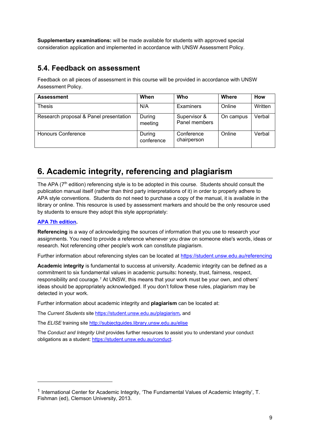**Supplementary examinations:** will be made available for students with approved special consideration application and implemented in accordance with UNSW Assessment Policy.

#### **5.4. Feedback on assessment**

Feedback on all pieces of assessment in this course will be provided in accordance with UNSW Assessment Policy.

| <b>Assessment</b>                      | When                 | Who                           | <b>Where</b> | How     |
|----------------------------------------|----------------------|-------------------------------|--------------|---------|
| Thesis                                 | N/A                  | Examiners                     | Online       | Written |
| Research proposal & Panel presentation | During<br>meeting    | Supervisor &<br>Panel members | On campus    | Verbal  |
| <b>Honours Conference</b>              | During<br>conference | Conference<br>chairperson     | Online       | Verbal  |

## **6. Academic integrity, referencing and plagiarism**

The APA (7<sup>th</sup> edition) referencing style is to be adopted in this course. Students should consult the publication manual itself (rather than third party interpretations of it) in order to properly adhere to APA style conventions. Students do not need to purchase a copy of the manual, it is available in the library or online. This resource is used by assessment markers and should be the only resource used by students to ensure they adopt this style appropriately:

#### **[APA 7th edition.](http://www.apastyle.org/manual/index.aspx)**

-

**Referencing** is a way of acknowledging the sources of information that you use to research your assignments. You need to provide a reference whenever you draw on someone else's words, ideas or research. Not referencing other people's work can constitute plagiarism.

Further information about referencing styles can be located at<https://student.unsw.edu.au/referencing>

**Academic integrity** is fundamental to success at university. Academic integrity can be defined as a commitment to six fundamental values in academic pursuits**:** honesty, trust, fairness, respect, responsibility and courage.*[1](#page-8-0)* At UNSW, this means that your work must be your own, and others' ideas should be appropriately acknowledged. If you don't follow these rules, plagiarism may be detected in your work.

Further information about academic integrity and **plagiarism** can be located at:

The *Current Students* site<https://student.unsw.edu.au/plagiarism>*,* and

The *ELISE* training site<http://subjectguides.library.unsw.edu.au/elise>

The *Conduct and Integrity Unit* provides further resources to assist you to understand your conduct obligations as a student: [https://student.unsw.edu.au/conduct.](https://student.unsw.edu.au/conduct)

<span id="page-8-0"></span><sup>1</sup> International Center for Academic Integrity, 'The Fundamental Values of Academic Integrity', T. Fishman (ed), Clemson University, 2013.